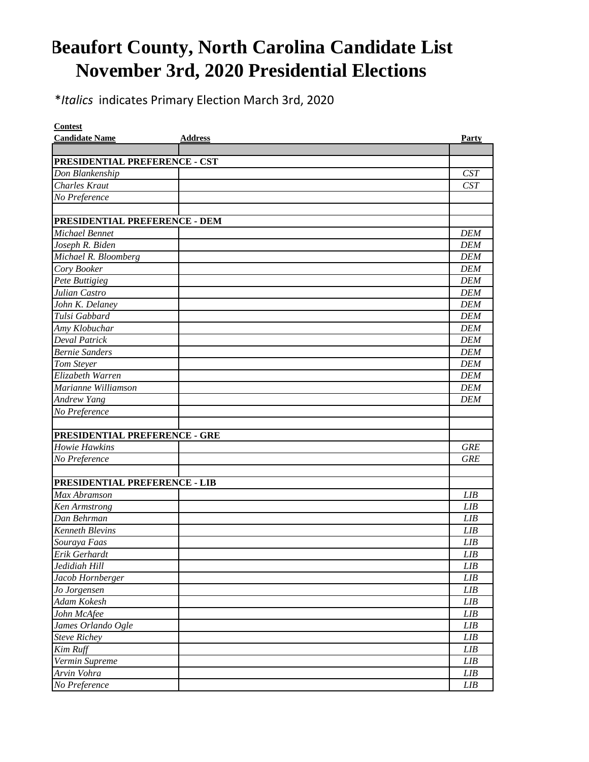## **Beaufort County, North Carolina Candidate List November 3rd, 2020 Presidential Elections**

\**Italics* indicates Primary Election March 3rd, 2020

| <b>Contest</b>                       |                |             |
|--------------------------------------|----------------|-------------|
| <b>Candidate Name</b>                | <b>Address</b> | Party       |
|                                      |                |             |
| PRESIDENTIAL PREFERENCE - CST        |                |             |
| Don Blankenship                      |                | CST         |
| Charles Kraut                        |                | CST         |
| No Preference                        |                |             |
| PRESIDENTIAL PREFERENCE - DEM        |                |             |
| Michael Bennet                       |                | <b>DEM</b>  |
| Joseph R. Biden                      |                | <b>DEM</b>  |
| Michael R. Bloomberg                 |                | <b>DEM</b>  |
| Cory Booker                          |                | <b>DEM</b>  |
| Pete Buttigieg                       |                | <b>DEM</b>  |
| Julian Castro                        |                | <b>DEM</b>  |
| John K. Delaney                      |                | <b>DEM</b>  |
| Tulsi Gabbard                        |                | <b>DEM</b>  |
| Amy Klobuchar                        |                | <b>DEM</b>  |
| <b>Deval Patrick</b>                 |                | <b>DEM</b>  |
| <b>Bernie Sanders</b>                |                | <b>DEM</b>  |
| Tom Stever                           |                | <b>DEM</b>  |
| Elizabeth Warren                     |                | <b>DEM</b>  |
| Marianne Williamson                  |                | <b>DEM</b>  |
| <b>Andrew Yang</b>                   |                | <b>DEM</b>  |
| No Preference                        |                |             |
|                                      |                |             |
| <b>PRESIDENTIAL PREFERENCE - GRE</b> |                |             |
| Howie Hawkins                        |                | <b>GRE</b>  |
| No Preference                        |                | <b>GRE</b>  |
|                                      |                |             |
| PRESIDENTIAL PREFERENCE - LIB        |                |             |
| Max Abramson                         |                | LIB         |
| Ken Armstrong                        |                | LIB         |
| Dan Behrman                          |                | <b>LIB</b>  |
| <b>Kenneth Blevins</b>               |                | LIB         |
| Souraya Faas                         |                | LIB         |
| Erik Gerhardt                        |                | LIB         |
| Jedidiah Hill                        |                | LIB         |
| Jacob Hornberger                     |                | LIB         |
| Jo Jorgensen                         |                | ${\it LIB}$ |
| Adam Kokesh                          |                | ${\it LIB}$ |
| John McAfee                          |                | LIB         |
| James Orlando Ogle                   |                | LIB         |
| <b>Steve Richey</b>                  |                | LIB         |
| Kim Ruff                             |                | LIB         |
| Vermin Supreme                       |                | LIB         |
| Arvin Vohra                          |                | ${\it LIB}$ |
| No Preference                        |                | ${\it LIB}$ |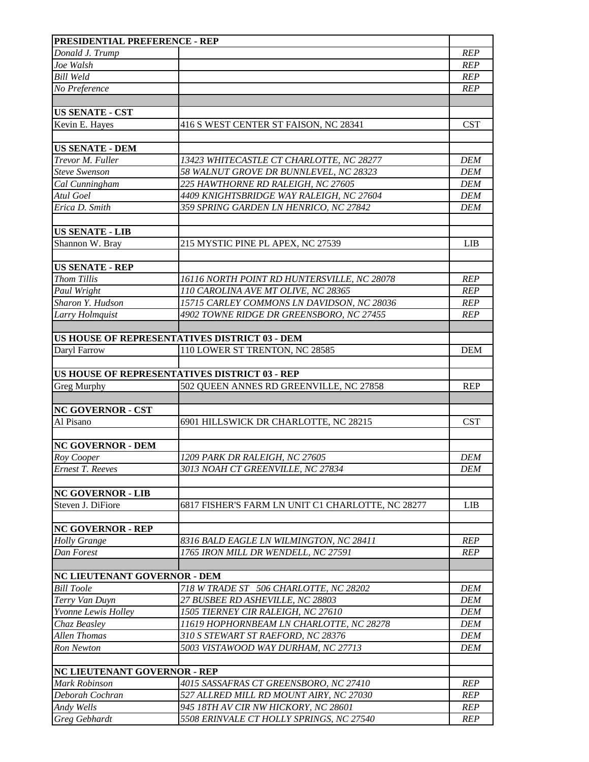| <b>PRESIDENTIAL PREFERENCE - REP</b> |                                                   |            |
|--------------------------------------|---------------------------------------------------|------------|
| Donald J. Trump                      |                                                   | <b>REP</b> |
| Joe Walsh                            |                                                   | <b>REP</b> |
| <b>Bill Weld</b>                     |                                                   | <b>REP</b> |
| No Preference                        |                                                   | <b>REP</b> |
|                                      |                                                   |            |
| <b>US SENATE - CST</b>               |                                                   |            |
| Kevin E. Hayes                       | 416 S WEST CENTER ST FAISON, NC 28341             | <b>CST</b> |
|                                      |                                                   |            |
| <b>US SENATE - DEM</b>               |                                                   |            |
| Trevor M. Fuller                     | 13423 WHITECASTLE CT CHARLOTTE, NC 28277          | <b>DEM</b> |
| <b>Steve Swenson</b>                 | 58 WALNUT GROVE DR BUNNLEVEL, NC 28323            | <b>DEM</b> |
| Cal Cunningham                       | 225 HAWTHORNE RD RALEIGH, NC 27605                | <b>DEM</b> |
| Atul Goel                            | 4409 KNIGHTSBRIDGE WAY RALEIGH, NC 27604          | <b>DEM</b> |
| Erica D. Smith                       | 359 SPRING GARDEN LN HENRICO, NC 27842            | <b>DEM</b> |
|                                      |                                                   |            |
| <b>US SENATE - LIB</b>               |                                                   |            |
| Shannon W. Bray                      | 215 MYSTIC PINE PL APEX, NC 27539                 | LIB        |
| <b>US SENATE - REP</b>               |                                                   |            |
| <b>Thom Tillis</b>                   | 16116 NORTH POINT RD HUNTERSVILLE, NC 28078       | <b>REP</b> |
| Paul Wright                          | 110 CAROLINA AVE MT OLIVE, NC 28365               | <b>REP</b> |
| Sharon Y. Hudson                     | 15715 CARLEY COMMONS LN DAVIDSON, NC 28036        | <b>REP</b> |
| Larry Holmquist                      | 4902 TOWNE RIDGE DR GREENSBORO, NC 27455          | <b>REP</b> |
|                                      |                                                   |            |
|                                      | US HOUSE OF REPRESENTATIVES DISTRICT 03 - DEM     |            |
| Daryl Farrow                         | 110 LOWER ST TRENTON, NC 28585                    | <b>DEM</b> |
|                                      |                                                   |            |
|                                      | US HOUSE OF REPRESENTATIVES DISTRICT 03 - REP     |            |
| <b>Greg Murphy</b>                   | 502 QUEEN ANNES RD GREENVILLE, NC 27858           | <b>REP</b> |
|                                      |                                                   |            |
| <b>NC GOVERNOR - CST</b>             |                                                   |            |
| Al Pisano                            | 6901 HILLSWICK DR CHARLOTTE, NC 28215             | <b>CST</b> |
|                                      |                                                   |            |
| <b>NC GOVERNOR - DEM</b>             |                                                   |            |
| Roy Cooper                           | 1209 PARK DR RALEIGH, NC 27605                    | <b>DEM</b> |
| <b>Ernest T. Reeves</b>              | 3013 NOAH CT GREENVILLE, NC 27834                 | <b>DEM</b> |
|                                      |                                                   |            |
| <b>NC GOVERNOR - LIB</b>             |                                                   |            |
| Steven J. DiFiore                    | 6817 FISHER'S FARM LN UNIT C1 CHARLOTTE, NC 28277 | <b>LIB</b> |
|                                      |                                                   |            |
| <b>NC GOVERNOR - REP</b>             | 8316 BALD EAGLE LN WILMINGTON, NC 28411           | <b>REP</b> |
| <b>Holly Grange</b>                  | 1765 IRON MILL DR WENDELL, NC 27591               | <b>REP</b> |
| Dan Forest                           |                                                   |            |
| <b>NC LIEUTENANT GOVERNOR - DEM</b>  |                                                   |            |
| <b>Bill Toole</b>                    | 718 W TRADE ST 506 CHARLOTTE, NC 28202            | <b>DEM</b> |
| Terry Van Duyn                       | 27 BUSBEE RD ASHEVILLE, NC 28803                  | <b>DEM</b> |
| Yvonne Lewis Holley                  | 1505 TIERNEY CIR RALEIGH, NC 27610                | <b>DEM</b> |
| Chaz Beasley                         | 11619 HOPHORNBEAM LN CHARLOTTE, NC 28278          | <b>DEM</b> |
| <b>Allen Thomas</b>                  | 310 S STEWART ST RAEFORD, NC 28376                | <b>DEM</b> |
| <b>Ron Newton</b>                    | 5003 VISTAWOOD WAY DURHAM, NC 27713               | <b>DEM</b> |
|                                      |                                                   |            |
| <b>NC LIEUTENANT GOVERNOR - REP</b>  |                                                   |            |
| <b>Mark Robinson</b>                 | 4015 SASSAFRAS CT GREENSBORO, NC 27410            | <b>REP</b> |
| Deborah Cochran                      | 527 ALLRED MILL RD MOUNT AIRY, NC 27030           | <b>REP</b> |
| Andy Wells                           | 945 18TH AV CIR NW HICKORY, NC 28601              | REP        |
| <b>Greg Gebhardt</b>                 | 5508 ERINVALE CT HOLLY SPRINGS, NC 27540          | <b>REP</b> |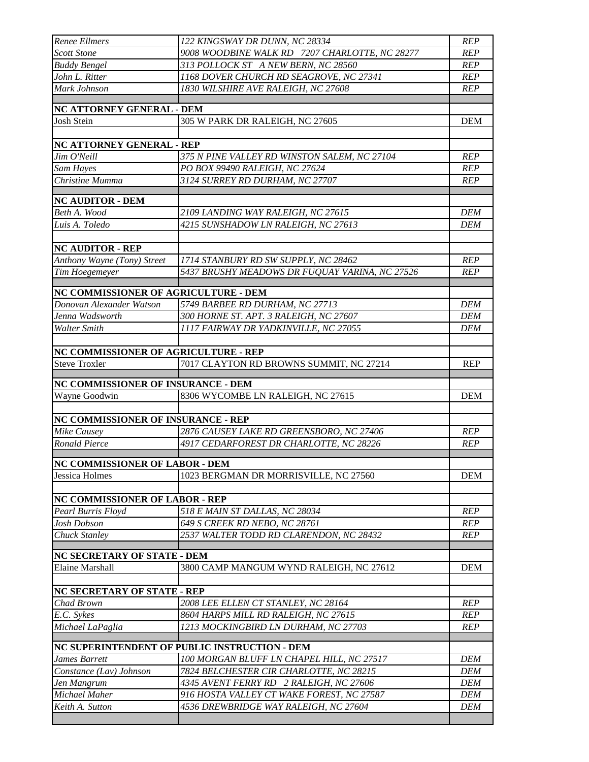| Renee Ellmers                         | 122 KINGSWAY DR DUNN, NC 28334                 | <b>REP</b>               |
|---------------------------------------|------------------------------------------------|--------------------------|
| <b>Scott Stone</b>                    | 9008 WOODBINE WALK RD 7207 CHARLOTTE, NC 28277 | <b>REP</b>               |
| <b>Buddy Bengel</b>                   | 313 POLLOCK ST A NEW BERN, NC 28560            | <b>REP</b>               |
| John L. Ritter                        | 1168 DOVER CHURCH RD SEAGROVE, NC 27341        | <b>REP</b>               |
| Mark Johnson                          | 1830 WILSHIRE AVE RALEIGH, NC 27608            | <b>REP</b>               |
| NC ATTORNEY GENERAL - DEM             |                                                |                          |
| Josh Stein                            | 305 W PARK DR RALEIGH, NC 27605                | <b>DEM</b>               |
|                                       |                                                |                          |
| NC ATTORNEY GENERAL - REP             |                                                |                          |
| Jim O'Neill                           | 375 N PINE VALLEY RD WINSTON SALEM, NC 27104   | <b>REP</b>               |
| Sam Hayes                             | PO BOX 99490 RALEIGH, NC 27624                 | <b>REP</b>               |
| Christine Mumma                       | 3124 SURREY RD DURHAM, NC 27707                | <b>REP</b>               |
|                                       |                                                |                          |
| <b>NC AUDITOR - DEM</b>               |                                                |                          |
| Beth A. Wood                          | 2109 LANDING WAY RALEIGH, NC 27615             | <b>DEM</b>               |
| Luis A. Toledo                        | 4215 SUNSHADOW LN RALEIGH, NC 27613            | <b>DEM</b>               |
|                                       |                                                |                          |
| <b>NC AUDITOR - REP</b>               |                                                |                          |
| Anthony Wayne (Tony) Street           | 1714 STANBURY RD SW SUPPLY, NC 28462           | <b>REP</b><br><b>REP</b> |
| Tim Hoegemeyer                        | 5437 BRUSHY MEADOWS DR FUQUAY VARINA, NC 27526 |                          |
| NC COMMISSIONER OF AGRICULTURE - DEM  |                                                |                          |
| Donovan Alexander Watson              | 5749 BARBEE RD DURHAM, NC 27713                | <b>DEM</b>               |
| Jenna Wadsworth                       | 300 HORNE ST. APT. 3 RALEIGH, NC 27607         | <b>DEM</b>               |
| Walter Smith                          | 1117 FAIRWAY DR YADKINVILLE, NC 27055          | <b>DEM</b>               |
|                                       |                                                |                          |
| NC COMMISSIONER OF AGRICULTURE - REP  |                                                |                          |
| <b>Steve Troxler</b>                  | 7017 CLAYTON RD BROWNS SUMMIT, NC 27214        | <b>REP</b>               |
| NC COMMISSIONER OF INSURANCE - DEM    |                                                |                          |
| Wayne Goodwin                         | 8306 WYCOMBE LN RALEIGH, NC 27615              | <b>DEM</b>               |
|                                       |                                                |                          |
| NC COMMISSIONER OF INSURANCE - REP    |                                                |                          |
| Mike Causey                           | 2876 CAUSEY LAKE RD GREENSBORO, NC 27406       | <b>REP</b>               |
| <b>Ronald Pierce</b>                  | 4917 CEDARFOREST DR CHARLOTTE, NC 28226        | <b>REP</b>               |
|                                       |                                                |                          |
| <b>NC COMMISSIONER OF LABOR - DEM</b> |                                                |                          |
| Jessica Holmes                        | 1023 BERGMAN DR MORRISVILLE, NC 27560          | <b>DEM</b>               |
| NC COMMISSIONER OF LABOR - REP        |                                                |                          |
| Pearl Burris Floyd                    | 518 E MAIN ST DALLAS, NC 28034                 | REP                      |
| Josh Dobson                           | 649 S CREEK RD NEBO, NC 28761                  | <b>REP</b>               |
| Chuck Stanley                         | 2537 WALTER TODD RD CLARENDON, NC 28432        | <b>REP</b>               |
|                                       |                                                |                          |
| NC SECRETARY OF STATE - DEM           |                                                |                          |
| Elaine Marshall                       | 3800 CAMP MANGUM WYND RALEIGH, NC 27612        | <b>DEM</b>               |
|                                       |                                                |                          |
| <b>NC SECRETARY OF STATE - REP</b>    |                                                |                          |
| Chad Brown                            | 2008 LEE ELLEN CT STANLEY, NC 28164            | <b>REP</b>               |
| E.C. Sykes                            | 8604 HARPS MILL RD RALEIGH, NC 27615           | <b>REP</b>               |
| Michael LaPaglia                      | 1213 MOCKINGBIRD LN DURHAM, NC 27703           | <b>REP</b>               |
|                                       | NC SUPERINTENDENT OF PUBLIC INSTRUCTION - DEM  |                          |
| James Barrett                         | 100 MORGAN BLUFF LN CHAPEL HILL, NC 27517      | <b>DEM</b>               |
| Constance (Lav) Johnson               | 7824 BELCHESTER CIR CHARLOTTE, NC 28215        | <b>DEM</b>               |
| Jen Mangrum                           | 4345 AVENT FERRY RD 2 RALEIGH, NC 27606        | DEM                      |
| Michael Maher                         | 916 HOSTA VALLEY CT WAKE FOREST, NC 27587      | <b>DEM</b>               |
| Keith A. Sutton                       | 4536 DREWBRIDGE WAY RALEIGH, NC 27604          | <b>DEM</b>               |
|                                       |                                                |                          |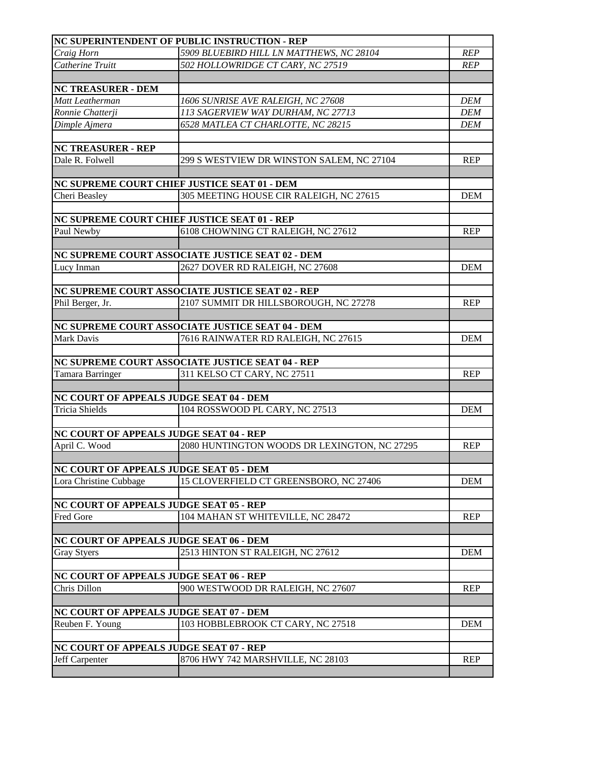|                                         | NC SUPERINTENDENT OF PUBLIC INSTRUCTION - REP                                           |            |
|-----------------------------------------|-----------------------------------------------------------------------------------------|------------|
| Craig Horn                              | 5909 BLUEBIRD HILL LN MATTHEWS, NC 28104                                                | <b>REP</b> |
| Catherine Truitt                        | 502 HOLLOWRIDGE CT CARY, NC 27519                                                       | <b>REP</b> |
|                                         |                                                                                         |            |
| <b>NC TREASURER - DEM</b>               |                                                                                         |            |
| Matt Leatherman                         | 1606 SUNRISE AVE RALEIGH, NC 27608                                                      | <b>DEM</b> |
| Ronnie Chatterji                        | 113 SAGERVIEW WAY DURHAM, NC 27713                                                      | <b>DEM</b> |
| Dimple Ajmera                           | 6528 MATLEA CT CHARLOTTE, NC 28215                                                      | <b>DEM</b> |
|                                         |                                                                                         |            |
| <b>NC TREASURER - REP</b>               |                                                                                         |            |
| Dale R. Folwell                         | 299 S WESTVIEW DR WINSTON SALEM, NC 27104                                               | <b>REP</b> |
|                                         |                                                                                         |            |
| Cheri Beasley                           | NC SUPREME COURT CHIEF JUSTICE SEAT 01 - DEM<br>305 MEETING HOUSE CIR RALEIGH, NC 27615 | <b>DEM</b> |
|                                         |                                                                                         |            |
|                                         | NC SUPREME COURT CHIEF JUSTICE SEAT 01 - REP                                            |            |
| Paul Newby                              | 6108 CHOWNING CT RALEIGH, NC 27612                                                      | <b>REP</b> |
|                                         |                                                                                         |            |
|                                         | NC SUPREME COURT ASSOCIATE JUSTICE SEAT 02 - DEM                                        |            |
| Lucy Inman                              | 2627 DOVER RD RALEIGH, NC 27608                                                         | <b>DEM</b> |
|                                         |                                                                                         |            |
|                                         | NC SUPREME COURT ASSOCIATE JUSTICE SEAT 02 - REP                                        |            |
| Phil Berger, Jr.                        | 2107 SUMMIT DR HILLSBOROUGH, NC 27278                                                   | <b>REP</b> |
|                                         |                                                                                         |            |
|                                         | NC SUPREME COURT ASSOCIATE JUSTICE SEAT 04 - DEM                                        |            |
| Mark Davis                              | 7616 RAINWATER RD RALEIGH, NC 27615                                                     | <b>DEM</b> |
|                                         |                                                                                         |            |
|                                         | NC SUPREME COURT ASSOCIATE JUSTICE SEAT 04 - REP                                        |            |
| Tamara Barringer                        | 311 KELSO CT CARY, NC 27511                                                             | <b>REP</b> |
|                                         |                                                                                         |            |
| NC COURT OF APPEALS JUDGE SEAT 04 - DEM |                                                                                         |            |
| <b>Tricia Shields</b>                   | 104 ROSSWOOD PL CARY, NC 27513                                                          | <b>DEM</b> |
|                                         |                                                                                         |            |
| NC COURT OF APPEALS JUDGE SEAT 04 - REP |                                                                                         |            |
| April C. Wood                           | 2080 HUNTINGTON WOODS DR LEXINGTON, NC 27295                                            | <b>REP</b> |
| NC COURT OF APPEALS JUDGE SEAT 05 - DEM |                                                                                         |            |
| Lora Christine Cubbage                  | 15 CLOVERFIELD CT GREENSBORO, NC 27406                                                  | <b>DEM</b> |
|                                         |                                                                                         |            |
| NC COURT OF APPEALS JUDGE SEAT 05 - REP |                                                                                         |            |
| <b>Fred Gore</b>                        | 104 MAHAN ST WHITEVILLE, NC 28472                                                       | <b>REP</b> |
|                                         |                                                                                         |            |
| NC COURT OF APPEALS JUDGE SEAT 06 - DEM |                                                                                         |            |
| <b>Gray Styers</b>                      | 2513 HINTON ST RALEIGH, NC 27612                                                        | <b>DEM</b> |
|                                         |                                                                                         |            |
| NC COURT OF APPEALS JUDGE SEAT 06 - REP |                                                                                         |            |
| Chris Dillon                            | 900 WESTWOOD DR RALEIGH, NC 27607                                                       | <b>REP</b> |
|                                         |                                                                                         |            |
| NC COURT OF APPEALS JUDGE SEAT 07 - DEM |                                                                                         |            |
| Reuben F. Young                         | 103 HOBBLEBROOK CT CARY, NC 27518                                                       | <b>DEM</b> |
|                                         |                                                                                         |            |
| NC COURT OF APPEALS JUDGE SEAT 07 - REP |                                                                                         |            |
| Jeff Carpenter                          | 8706 HWY 742 MARSHVILLE, NC 28103                                                       | <b>REP</b> |
|                                         |                                                                                         |            |